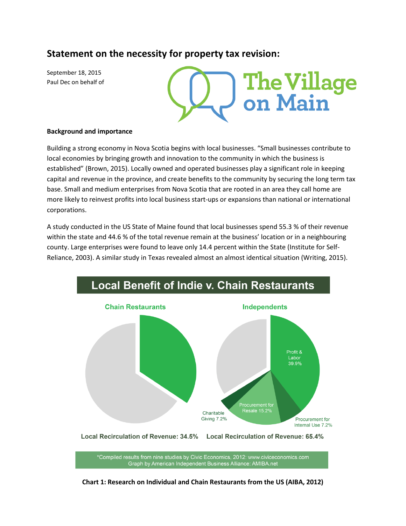# **Statement on the necessity for property tax revision:**

September 18, 2015 Paul Dec on behalf of

**The Village<br>on Main** 

# **Background and importance**

Building a strong economy in Nova Scotia begins with local businesses. "Small businesses contribute to local economies by bringing growth and innovation to the community in which the business is established" (Brown, 2015). Locally owned and operated businesses play a significant role in keeping capital and revenue in the province, and create benefits to the community by securing the long term tax base. Small and medium enterprises from Nova Scotia that are rooted in an area they call home are more likely to reinvest profits into local business start-ups or expansions than national or international corporations.

A study conducted in the US State of Maine found that local businesses spend 55.3 % of their revenue within the state and 44.6 % of the total revenue remain at the business' location or in a neighbouring county. Large enterprises were found to leave only 14.4 percent within the State (Institute for Self-Reliance, 2003). A similar study in Texas revealed almost an almost identical situation (Writing, 2015).



**Chart 1: Research on Individual and Chain Restaurants from the US (AIBA, 2012)**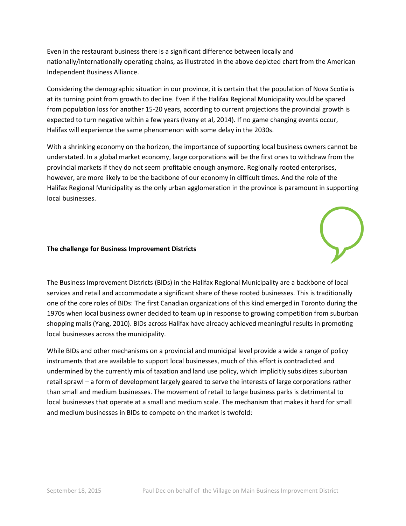Even in the restaurant business there is a significant difference between locally and nationally/internationally operating chains, as illustrated in the above depicted chart from the American Independent Business Alliance.

Considering the demographic situation in our province, it is certain that the population of Nova Scotia is at its turning point from growth to decline. Even if the Halifax Regional Municipality would be spared from population loss for another 15-20 years, according to current projections the provincial growth is expected to turn negative within a few years (Ivany et al, 2014). If no game changing events occur, Halifax will experience the same phenomenon with some delay in the 2030s.

With a shrinking economy on the horizon, the importance of supporting local business owners cannot be understated. In a global market economy, large corporations will be the first ones to withdraw from the provincial markets if they do not seem profitable enough anymore. Regionally rooted enterprises, however, are more likely to be the backbone of our economy in difficult times. And the role of the Halifax Regional Municipality as the only urban agglomeration in the province is paramount in supporting local businesses.

### **The challenge for Business Improvement Districts**

The Business Improvement Districts (BIDs) in the Halifax Regional Municipality are a backbone of local services and retail and accommodate a significant share of these rooted businesses. This is traditionally one of the core roles of BIDs: The first Canadian organizations of this kind emerged in Toronto during the 1970s when local business owner decided to team up in response to growing competition from suburban shopping malls (Yang, 2010). BIDs across Halifax have already achieved meaningful results in promoting local businesses across the municipality.

While BIDs and other mechanisms on a provincial and municipal level provide a wide a range of policy instruments that are available to support local businesses, much of this effort is contradicted and undermined by the currently mix of taxation and land use policy, which implicitly subsidizes suburban retail sprawl – a form of development largely geared to serve the interests of large corporations rather than small and medium businesses. The movement of retail to large business parks is detrimental to local businesses that operate at a small and medium scale. The mechanism that makes it hard for small and medium businesses in BIDs to compete on the market is twofold: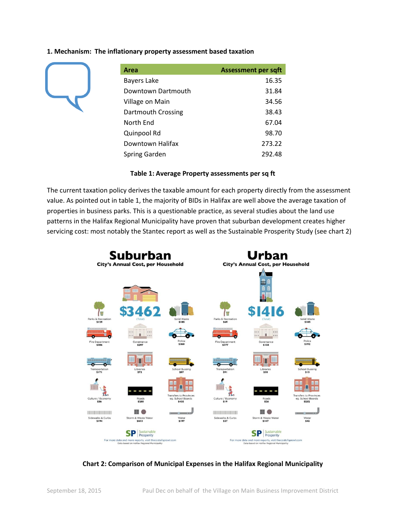### **1. Mechanism: The inflationary property assessment based taxation**



| Area                 | <b>Assessment per sqft</b> |
|----------------------|----------------------------|
| <b>Bayers Lake</b>   | 16.35                      |
| Downtown Dartmouth   | 31.84                      |
| Village on Main      | 34.56                      |
| Dartmouth Crossing   | 38.43                      |
| North End            | 67.04                      |
| Quinpool Rd          | 98.70                      |
| Downtown Halifax     | 273.22                     |
| <b>Spring Garden</b> | 292.48                     |

#### **Table 1: Average Property assessments per sq ft**

The current taxation policy derives the taxable amount for each property directly from the assessment value. As pointed out in table 1, the majority of BIDs in Halifax are well above the average taxation of properties in business parks. This is a questionable practice, as several studies about the land use patterns in the Halifax Regional Municipality have proven that suburban development creates higher servicing cost: most notably the Stantec report as well as the Sustainable Prosperity Study (see chart 2)



# **Chart 2: Comparison of Municipal Expenses in the Halifax Regional Municipality**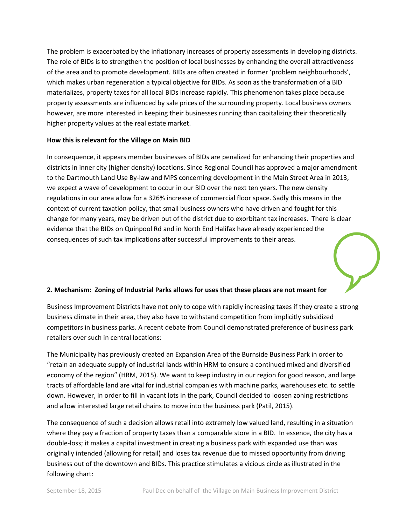The problem is exacerbated by the inflationary increases of property assessments in developing districts. The role of BIDs is to strengthen the position of local businesses by enhancing the overall attractiveness of the area and to promote development. BIDs are often created in former 'problem neighbourhoods', which makes urban regeneration a typical objective for BIDs. As soon as the transformation of a BID materializes, property taxes for all local BIDs increase rapidly. This phenomenon takes place because property assessments are influenced by sale prices of the surrounding property. Local business owners however, are more interested in keeping their businesses running than capitalizing their theoretically higher property values at the real estate market.

# **How this is relevant for the Village on Main BID**

In consequence, it appears member businesses of BIDs are penalized for enhancing their properties and districts in inner city (higher density) locations. Since Regional Council has approved a major amendment to the Dartmouth Land Use By-law and MPS concerning development in the Main Street Area in 2013, we expect a wave of development to occur in our BID over the next ten years. The new density regulations in our area allow for a 326% increase of commercial floor space. Sadly this means in the context of current taxation policy, that small business owners who have driven and fought for this change for many years, may be driven out of the district due to exorbitant tax increases. There is clear evidence that the BIDs on Quinpool Rd and in North End Halifax have already experienced the consequences of such tax implications after successful improvements to their areas.

# **2. Mechanism: Zoning of Industrial Parks allows for uses that these places are not meant for**

Business Improvement Districts have not only to cope with rapidly increasing taxes if they create a strong business climate in their area, they also have to withstand competition from implicitly subsidized competitors in business parks. A recent debate from Council demonstrated preference of business park retailers over such in central locations:

The Municipality has previously created an Expansion Area of the Burnside Business Park in order to "retain an adequate supply of industrial lands within HRM to ensure a continued mixed and diversified economy of the region" (HRM, 2015). We want to keep industry in our region for good reason, and large tracts of affordable land are vital for industrial companies with machine parks, warehouses etc. to settle down. However, in order to fill in vacant lots in the park, Council decided to loosen zoning restrictions and allow interested large retail chains to move into the business park (Patil, 2015).

The consequence of such a decision allows retail into extremely low valued land, resulting in a situation where they pay a fraction of property taxes than a comparable store in a BID. In essence, the city has a double-loss; it makes a capital investment in creating a business park with expanded use than was originally intended (allowing for retail) and loses tax revenue due to missed opportunity from driving business out of the downtown and BIDs. This practice stimulates a vicious circle as illustrated in the following chart: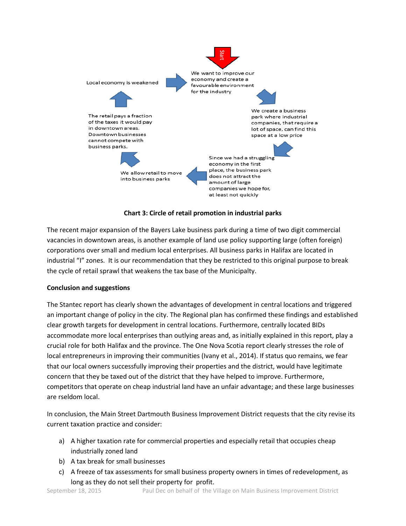

**Chart 3: Circle of retail promotion in industrial parks**

The recent major expansion of the Bayers Lake business park during a time of two digit commercial vacancies in downtown areas, is another example of land use policy supporting large (often foreign) corporations over small and medium local enterprises. All business parks in Halifax are located in industrial "I" zones. It is our recommendation that they be restricted to this original purpose to break the cycle of retail sprawl that weakens the tax base of the Municipalty.

# **Conclusion and suggestions**

The Stantec report has clearly shown the advantages of development in central locations and triggered an important change of policy in the city. The Regional plan has confirmed these findings and established clear growth targets for development in central locations. Furthermore, centrally located BIDs accommodate more local enterprises than outlying areas and, as initially explained in this report, play a crucial role for both Halifax and the province. The One Nova Scotia report clearly stresses the role of local entrepreneurs in improving their communities (Ivany et al., 2014). If status quo remains, we fear that our local owners successfully improving their properties and the district, would have legitimate concern that they be taxed out of the district that they have helped to improve. Furthermore, competitors that operate on cheap industrial land have an unfair advantage; and these large businesses are rseldom local.

In conclusion, the Main Street Dartmouth Business Improvement District requests that the city revise its current taxation practice and consider:

- a) A higher taxation rate for commercial properties and especially retail that occupies cheap industrially zoned land
- b) A tax break for small businesses
- c) A freeze of tax assessments for small business property owners in times of redevelopment, as long as they do not sell their property for profit.